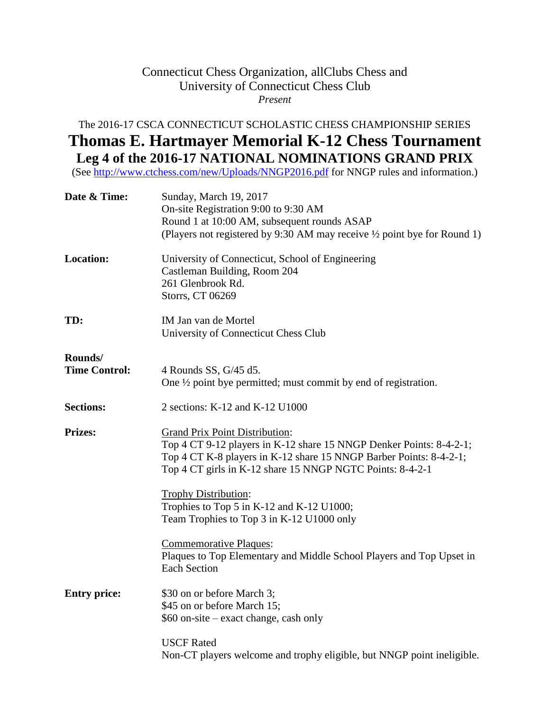## Connecticut Chess Organization, allClubs Chess and University of Connecticut Chess Club *Present*

## The 2016-17 CSCA CONNECTICUT SCHOLASTIC CHESS CHAMPIONSHIP SERIES **Thomas E. Hartmayer Memorial K-12 Chess Tournament Leg 4 of the 2016-17 NATIONAL NOMINATIONS GRAND PRIX**

(See<http://www.ctchess.com/new/Uploads/NNGP2016.pdf> for NNGP rules and information.)

| Date & Time:                    | Sunday, March 19, 2017<br>On-site Registration 9:00 to 9:30 AM<br>Round 1 at 10:00 AM, subsequent rounds ASAP<br>(Players not registered by 9:30 AM may receive $\frac{1}{2}$ point bye for Round 1)                                            |
|---------------------------------|-------------------------------------------------------------------------------------------------------------------------------------------------------------------------------------------------------------------------------------------------|
| <b>Location:</b>                | University of Connecticut, School of Engineering<br>Castleman Building, Room 204<br>261 Glenbrook Rd.<br>Storrs, CT 06269                                                                                                                       |
| TD:                             | IM Jan van de Mortel<br>University of Connecticut Chess Club                                                                                                                                                                                    |
| Rounds/<br><b>Time Control:</b> | 4 Rounds SS, G/45 d5.<br>One $\frac{1}{2}$ point by epermitted; must commit by end of registration.                                                                                                                                             |
| <b>Sections:</b>                | 2 sections: K-12 and K-12 U1000                                                                                                                                                                                                                 |
| <b>Prizes:</b>                  | <b>Grand Prix Point Distribution:</b><br>Top 4 CT 9-12 players in K-12 share 15 NNGP Denker Points: 8-4-2-1;<br>Top 4 CT K-8 players in K-12 share 15 NNGP Barber Points: 8-4-2-1;<br>Top 4 CT girls in K-12 share 15 NNGP NGTC Points: 8-4-2-1 |
|                                 | Trophy Distribution:<br>Trophies to Top 5 in K-12 and K-12 U1000;<br>Team Trophies to Top 3 in K-12 U1000 only                                                                                                                                  |
|                                 | <b>Commemorative Plaques:</b><br>Plaques to Top Elementary and Middle School Players and Top Upset in<br><b>Each Section</b>                                                                                                                    |
| <b>Entry price:</b>             | \$30 on or before March 3;<br>\$45 on or before March 15;<br>\$60 on-site – exact change, cash only                                                                                                                                             |
|                                 | <b>USCF Rated</b><br>Non-CT players welcome and trophy eligible, but NNGP point ineligible.                                                                                                                                                     |